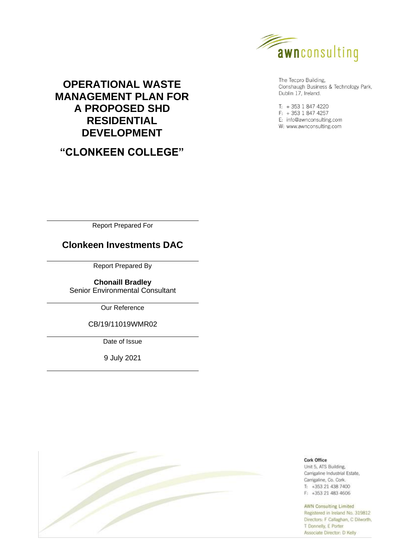

# **OPERATIONAL WASTE MANAGEMENT PLAN FOR A PROPOSED SHD RESIDENTIAL DEVELOPMENT**

**"CLONKEEN COLLEGE"**

The Tecpro Building, Clonshaugh Business & Technology Park, Dublin 17, Ireland.

 $T: +35318474220$  $F: +35318474257$ E: info@awnconsulting.com W: www.awnconsulting.com

Report Prepared For

# **Clonkeen Investments DAC**

Report Prepared By

**Chonaill Bradley** Senior Environmental Consultant

Our Reference

CB/19/11019WMR02

Date of Issue

9 July 2021



Cork Office Unit 5, ATS Building, Carrigaline Industrial Estate, Carrigaline, Co. Cork.  $T_1$  +353 21 438 7400 F: +353 21 483 4606

#### **AWN Consulting Limited**

Registered in Ireland No. 319812 Directors: F Callaghan, C Dilworth, T Donnelly, E Porter Associate Director: D Kelly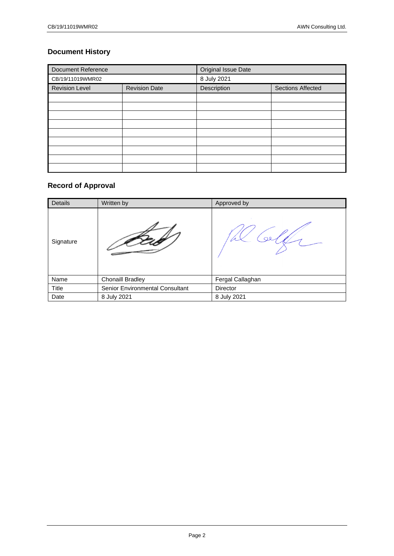# **Document History**

| <b>Document Reference</b> |                      | Original Issue Date              |  |
|---------------------------|----------------------|----------------------------------|--|
| CB/19/11019WMR02          |                      | 8 July 2021                      |  |
| <b>Revision Level</b>     | <b>Revision Date</b> | Description<br>Sections Affected |  |
|                           |                      |                                  |  |
|                           |                      |                                  |  |
|                           |                      |                                  |  |
|                           |                      |                                  |  |
|                           |                      |                                  |  |
|                           |                      |                                  |  |
|                           |                      |                                  |  |
|                           |                      |                                  |  |
|                           |                      |                                  |  |

# **Record of Approval**

| Details   | Written by                      | Approved by      |
|-----------|---------------------------------|------------------|
| Signature |                                 |                  |
| Name      | <b>Chonaill Bradley</b>         | Fergal Callaghan |
| Title     | Senior Environmental Consultant | Director         |
| Date      | 8 July 2021                     | 8 July 2021      |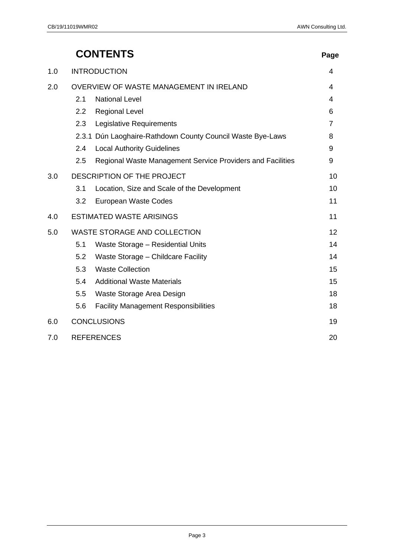|     |                                         | <b>CONTENTS</b>                                            | Page           |
|-----|-----------------------------------------|------------------------------------------------------------|----------------|
| 1.0 |                                         | <b>INTRODUCTION</b>                                        | 4              |
| 2.0 | OVERVIEW OF WASTE MANAGEMENT IN IRELAND |                                                            | 4              |
|     | 2.1                                     | <b>National Level</b>                                      | 4              |
|     | $2.2\phantom{0}$                        | <b>Regional Level</b>                                      | 6              |
|     | 2.3                                     | Legislative Requirements                                   | $\overline{7}$ |
|     |                                         | 2.3.1 Dún Laoghaire-Rathdown County Council Waste Bye-Laws | 8              |
|     | 2.4                                     | <b>Local Authority Guidelines</b>                          | 9              |
|     | 2.5                                     | Regional Waste Management Service Providers and Facilities | 9              |
| 3.0 |                                         | DESCRIPTION OF THE PROJECT                                 | 10             |
|     | 3.1                                     | Location, Size and Scale of the Development                | 10             |
|     | 3.2                                     | European Waste Codes                                       | 11             |
| 4.0 |                                         | <b>ESTIMATED WASTE ARISINGS</b>                            | 11             |
| 5.0 |                                         | <b>WASTE STORAGE AND COLLECTION</b>                        | 12             |
|     | 5.1                                     | Waste Storage - Residential Units                          | 14             |
|     | 5.2                                     | Waste Storage - Childcare Facility                         | 14             |
|     | 5.3                                     | <b>Waste Collection</b>                                    | 15             |
|     | 5.4                                     | <b>Additional Waste Materials</b>                          | 15             |
|     | 5.5                                     | Waste Storage Area Design                                  | 18             |
|     | 5.6                                     | <b>Facility Management Responsibilities</b>                | 18             |
| 6.0 |                                         | <b>CONCLUSIONS</b>                                         | 19             |

# 7.0 [REFERENCES](#page-19-0) 20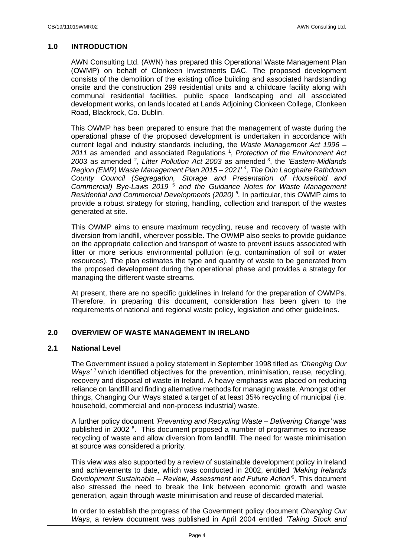## <span id="page-3-0"></span>**1.0 INTRODUCTION**

AWN Consulting Ltd. (AWN) has prepared this Operational Waste Management Plan (OWMP) on behalf of Clonkeen Investments DAC. The proposed development consists of the demolition of the existing office building and associated hardstanding onsite and the construction 299 residential units and a childcare facility along with communal residential facilities, public space landscaping and all associated development works, on lands located at Lands Adjoining Clonkeen College, Clonkeen Road, Blackrock, Co. Dublin.

This OWMP has been prepared to ensure that the management of waste during the operational phase of the proposed development is undertaken in accordance with current legal and industry standards including, the *Waste Management Act 1996 –* 2011 as amended and associated Regulations<sup>1</sup>, Protection of the Environment Act *2003* as amended <sup>2</sup> , *Litter Pollution Act 2003* as amended <sup>3</sup> , the *'Eastern-Midlands Region (EMR) Waste Management Plan 2015 – 2021*' *4 , The Dún Laoghaire Rathdown County Council (Segregation, Storage and Presentation of Household and Commercial) Bye-Laws 2019* <sup>5</sup> *and the Guidance Notes for Waste Management Residential and Commercial Developments (2020) <sup>6</sup> .* In particular, this OWMP aims to provide a robust strategy for storing, handling, collection and transport of the wastes generated at site.

This OWMP aims to ensure maximum recycling, reuse and recovery of waste with diversion from landfill, wherever possible. The OWMP also seeks to provide guidance on the appropriate collection and transport of waste to prevent issues associated with litter or more serious environmental pollution (e.g. contamination of soil or water resources). The plan estimates the type and quantity of waste to be generated from the proposed development during the operational phase and provides a strategy for managing the different waste streams.

At present, there are no specific guidelines in Ireland for the preparation of OWMPs. Therefore, in preparing this document, consideration has been given to the requirements of national and regional waste policy, legislation and other guidelines.

## <span id="page-3-1"></span>**2.0 OVERVIEW OF WASTE MANAGEMENT IN IRELAND**

## <span id="page-3-2"></span>**2.1 National Level**

The Government issued a policy statement in September 1998 titled as *'Changing Our Ways'* <sup>7</sup> which identified objectives for the prevention, minimisation, reuse, recycling, recovery and disposal of waste in Ireland. A heavy emphasis was placed on reducing reliance on landfill and finding alternative methods for managing waste. Amongst other things, Changing Our Ways stated a target of at least 35% recycling of municipal (i.e. household, commercial and non-process industrial) waste.

A further policy document *'Preventing and Recycling Waste – Delivering Change'* was published in 2002<sup>8</sup>. This document proposed a number of programmes to increase recycling of waste and allow diversion from landfill. The need for waste minimisation at source was considered a priority.

This view was also supported by a review of sustainable development policy in Ireland and achievements to date, which was conducted in 2002, entitled *'Making Irelands Development Sustainable – Review, Assessment and Future Action'*<sup>9</sup> . This document also stressed the need to break the link between economic growth and waste generation, again through waste minimisation and reuse of discarded material.

In order to establish the progress of the Government policy document *Changing Our Ways*, a review document was published in April 2004 entitled *'Taking Stock and*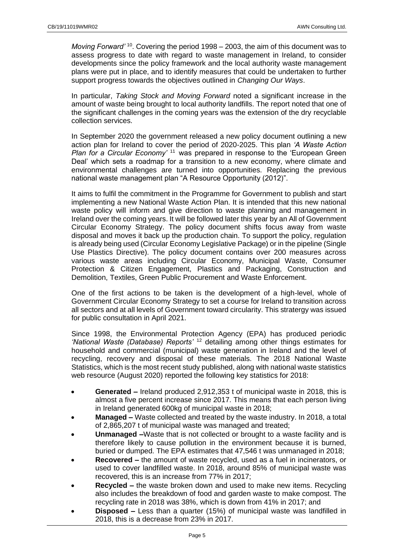Moving Forward<sup>' 10</sup>. Covering the period 1998 – 2003, the aim of this document was to assess progress to date with regard to waste management in Ireland, to consider developments since the policy framework and the local authority waste management plans were put in place, and to identify measures that could be undertaken to further support progress towards the objectives outlined in *Changing Our Ways*.

In particular, *Taking Stock and Moving Forward* noted a significant increase in the amount of waste being brought to local authority landfills. The report noted that one of the significant challenges in the coming years was the extension of the dry recyclable collection services.

In September 2020 the government released a new policy document outlining a new action plan for Ireland to cover the period of 2020-2025. This plan *'A Waste Action Plan for a Circular Economy'* <sup>11</sup> was prepared in response to the 'European Green' Deal' which sets a roadmap for a transition to a new economy, where climate and environmental challenges are turned into opportunities. Replacing the previous national waste management plan "A Resource Opportunity (2012)".

It aims to fulfil the commitment in the Programme for Government to publish and start implementing a new National Waste Action Plan. It is intended that this new national waste policy will inform and give direction to waste planning and management in Ireland over the coming years. It will be followed later this year by an All of Government Circular Economy Strategy. The policy document shifts focus away from waste disposal and moves it back up the production chain. To support the policy, regulation is already being used (Circular Economy Legislative Package) or in the pipeline (Single Use Plastics Directive). The policy document contains over 200 measures across various waste areas including Circular Economy, Municipal Waste, Consumer Protection & Citizen Engagement, Plastics and Packaging, Construction and Demolition, Textiles, Green Public Procurement and Waste Enforcement.

One of the first actions to be taken is the development of a high-level, whole of Government Circular Economy Strategy to set a course for Ireland to transition across all sectors and at all levels of Government toward circularity. This stratergy was issued for public consultation in April 2021.

Since 1998, the Environmental Protection Agency (EPA) has produced periodic *'National Waste (Database) Reports'* <sup>12</sup> detailing among other things estimates for household and commercial (municipal) waste generation in Ireland and the level of recycling, recovery and disposal of these materials. The 2018 National Waste Statistics, which is the most recent study published, along with national waste statistics web resource (August 2020) reported the following key statistics for 2018:

- **Generated –** Ireland produced 2,912,353 t of municipal waste in 2018, this is almost a five percent increase since 2017. This means that each person living in Ireland generated 600kg of municipal waste in 2018;
- **Managed –** Waste collected and treated by the waste industry. In 2018, a total of 2,865,207 t of municipal waste was managed and treated;
- **Unmanaged –**Waste that is not collected or brought to a waste facility and is therefore likely to cause pollution in the environment because it is burned, buried or dumped. The EPA estimates that 47,546 t was unmanaged in 2018;
- **Recovered –** the amount of waste recycled, used as a fuel in incinerators, or used to cover landfilled waste. In 2018, around 85% of municipal waste was recovered, this is an increase from 77% in 2017;
- **Recycled –** the waste broken down and used to make new items. Recycling also includes the breakdown of food and garden waste to make compost. The recycling rate in 2018 was 38%, which is down from 41% in 2017; and
- **Disposed –** Less than a quarter (15%) of municipal waste was landfilled in 2018, this is a decrease from 23% in 2017.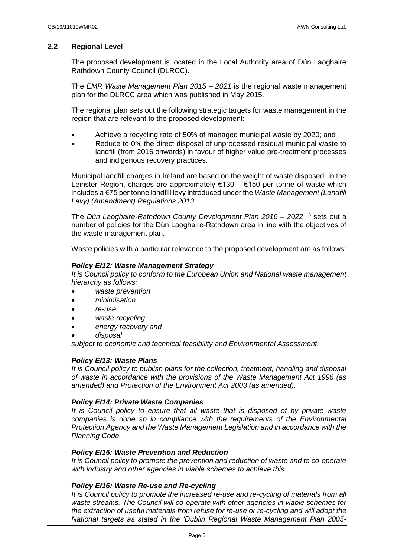# <span id="page-5-0"></span>**2.2 Regional Level**

The proposed development is located in the Local Authority area of Dún Laoghaire Rathdown County Council (DLRCC).

The *EMR Waste Management Plan 2015 – 2021* is the regional waste management plan for the DLRCC area which was published in May 2015.

The regional plan sets out the following strategic targets for waste management in the region that are relevant to the proposed development:

- Achieve a recycling rate of 50% of managed municipal waste by 2020; and
- Reduce to 0% the direct disposal of unprocessed residual municipal waste to landfill (from 2016 onwards) in favour of higher value pre-treatment processes and indigenous recovery practices.

Municipal landfill charges in Ireland are based on the weight of waste disposed. In the Leinster Region, charges are approximately €130 – €150 per tonne of waste which includes a €75 per tonne landfill levy introduced under the *Waste Management (Landfill Levy) (Amendment) Regulations 2013.*

The *Dún Laoghaire-Rathdown County Development Plan 2016 – 2022* <sup>13</sup> sets out a number of policies for the Dún Laoghaire-Rathdown area in line with the objectives of the waste management plan.

Waste policies with a particular relevance to the proposed development are as follows:

## *Policy EI12: Waste Management Strategy*

*It is Council policy to conform to the European Union and National waste management hierarchy as follows:*

- *waste prevention*
- *minimisation*
- *re-use*
- *waste recycling*
- *energy recovery and*
- *disposal*

*subject to economic and technical feasibility and Environmental Assessment.*

## *Policy EI13: Waste Plans*

*It is Council policy to publish plans for the collection, treatment, handling and disposal of waste in accordance with the provisions of the Waste Management Act 1996 (as amended) and Protection of the Environment Act 2003 (as amended).*

## *Policy EI14: Private Waste Companies*

*It is Council policy to ensure that all waste that is disposed of by private waste companies is done so in compliance with the requirements of the Environmental Protection Agency and the Waste Management Legislation and in accordance with the Planning Code.*

## *Policy EI15: Waste Prevention and Reduction*

*It is Council policy to promote the prevention and reduction of waste and to co-operate with industry and other agencies in viable schemes to achieve this.*

## *Policy EI16: Waste Re-use and Re-cycling*

*It is Council policy to promote the increased re-use and re-cycling of materials from all waste streams. The Council will co-operate with other agencies in viable schemes for the extraction of useful materials from refuse for re-use or re-cycling and will adopt the National targets as stated in the 'Dublin Regional Waste Management Plan 2005-*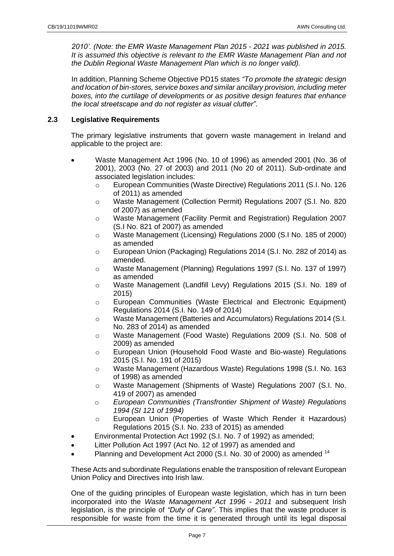*2010'. (Note: the EMR Waste Management Plan 2015 - 2021 was published in 2015. It is assumed this objective is relevant to the EMR Waste Management Plan and not the Dublin Regional Waste Management Plan which is no longer valid).*

In addition, Planning Scheme Objective PD15 states *"To promote the strategic design and location of bin-stores, service boxes and similar ancillary provision, including meter boxes, into the curtilage of developments or as positive design features that enhance the local streetscape and do not register as visual clutter"*.

# <span id="page-6-0"></span>**2.3 Legislative Requirements**

The primary legislative instruments that govern waste management in Ireland and applicable to the project are:

- Waste Management Act 1996 (No. 10 of 1996) as amended 2001 (No. 36 of 2001), 2003 (No. 27 of 2003) and 2011 (No 20 of 2011). Sub-ordinate and associated legislation includes:
	- o European Communities (Waste Directive) Regulations 2011 (S.I. No. 126 of 2011) as amended
	- o Waste Management (Collection Permit) Regulations 2007 (S.I. No. 820 of 2007) as amended
	- o Waste Management (Facility Permit and Registration) Regulation 2007 (S.I No. 821 of 2007) as amended
	- o Waste Management (Licensing) Regulations 2000 (S.I No. 185 of 2000) as amended
	- o European Union (Packaging) Regulations 2014 (S.I. No. 282 of 2014) as amended.
	- o Waste Management (Planning) Regulations 1997 (S.I. No. 137 of 1997) as amended
	- o Waste Management (Landfill Levy) Regulations 2015 (S.I. No. 189 of 2015)
	- o European Communities (Waste Electrical and Electronic Equipment) Regulations 2014 (S.I. No. 149 of 2014)
	- o Waste Management (Batteries and Accumulators) Regulations 2014 (S.I. No. 283 of 2014) as amended
	- o Waste Management (Food Waste) Regulations 2009 (S.I. No. 508 of 2009) as amended
	- o European Union (Household Food Waste and Bio-waste) Regulations 2015 (S.I. No. 191 of 2015)
	- o Waste Management (Hazardous Waste) Regulations 1998 (S.I. No. 163 of 1998) as amended
	- o Waste Management (Shipments of Waste) Regulations 2007 (S.I. No. 419 of 2007) as amended
	- o *European Communities (Transfrontier Shipment of Waste) Regulations 1994 (SI 121 of 1994)*
	- o European Union (Properties of Waste Which Render it Hazardous) Regulations 2015 (S.I. No. 233 of 2015) as amended
- Environmental Protection Act 1992 (S.I. No. 7 of 1992) as amended;
- Litter Pollution Act 1997 (Act No. 12 of 1997) as amended and
- Planning and Development Act 2000 (S.I. No. 30 of 2000) as amended <sup>14</sup>

These Acts and subordinate Regulations enable the transposition of relevant European Union Policy and Directives into Irish law.

One of the guiding principles of European waste legislation, which has in turn been incorporated into the *Waste Management Act 1996 - 2011* and subsequent Irish legislation, is the principle of *"Duty of Care"*. This implies that the waste producer is responsible for waste from the time it is generated through until its legal disposal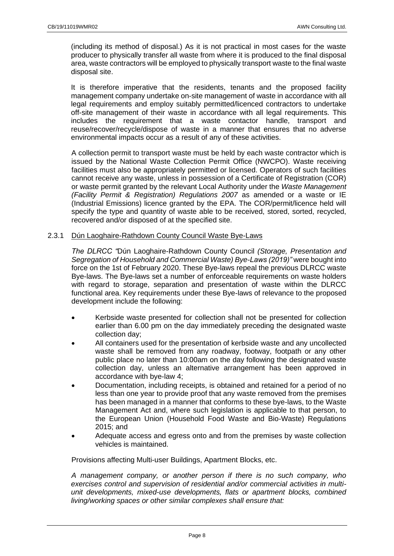(including its method of disposal.) As it is not practical in most cases for the waste producer to physically transfer all waste from where it is produced to the final disposal area, waste contractors will be employed to physically transport waste to the final waste disposal site.

It is therefore imperative that the residents, tenants and the proposed facility management company undertake on-site management of waste in accordance with all legal requirements and employ suitably permitted/licenced contractors to undertake off-site management of their waste in accordance with all legal requirements. This includes the requirement that a waste contactor handle, transport and reuse/recover/recycle/dispose of waste in a manner that ensures that no adverse environmental impacts occur as a result of any of these activities.

A collection permit to transport waste must be held by each waste contractor which is issued by the National Waste Collection Permit Office (NWCPO). Waste receiving facilities must also be appropriately permitted or licensed. Operators of such facilities cannot receive any waste, unless in possession of a Certificate of Registration (COR) or waste permit granted by the relevant Local Authority under the *Waste Management (Facility Permit & Registration) Regulations 2007* as amended or a waste or IE (Industrial Emissions) licence granted by the EPA. The COR/permit/licence held will specify the type and quantity of waste able to be received, stored, sorted, recycled, recovered and/or disposed of at the specified site.

## <span id="page-7-0"></span>2.3.1 Dún Laoghaire-Rathdown County Council Waste Bye-Laws

*The DLRCC "*Dún Laoghaire-Rathdown County Council *(Storage, Presentation and Segregation of Household and Commercial Waste) Bye-Laws (2019)"* were bought into force on the 1st of February 2020. These Bye-laws repeal the previous DLRCC waste Bye-laws. The Bye-laws set a number of enforceable requirements on waste holders with regard to storage, separation and presentation of waste within the DLRCC functional area. Key requirements under these Bye-laws of relevance to the proposed development include the following:

- Kerbside waste presented for collection shall not be presented for collection earlier than 6.00 pm on the day immediately preceding the designated waste collection day;
- All containers used for the presentation of kerbside waste and any uncollected waste shall be removed from any roadway, footway, footpath or any other public place no later than 10:00am on the day following the designated waste collection day, unless an alternative arrangement has been approved in accordance with bye-law 4;
- Documentation, including receipts, is obtained and retained for a period of no less than one year to provide proof that any waste removed from the premises has been managed in a manner that conforms to these bye-laws, to the Waste Management Act and, where such legislation is applicable to that person, to the European Union (Household Food Waste and Bio-Waste) Regulations 2015; and
- Adequate access and egress onto and from the premises by waste collection vehicles is maintained.

Provisions affecting Multi-user Buildings, Apartment Blocks, etc.

*A management company, or another person if there is no such company, who exercises control and supervision of residential and/or commercial activities in multiunit developments, mixed-use developments, flats or apartment blocks, combined living/working spaces or other similar complexes shall ensure that:*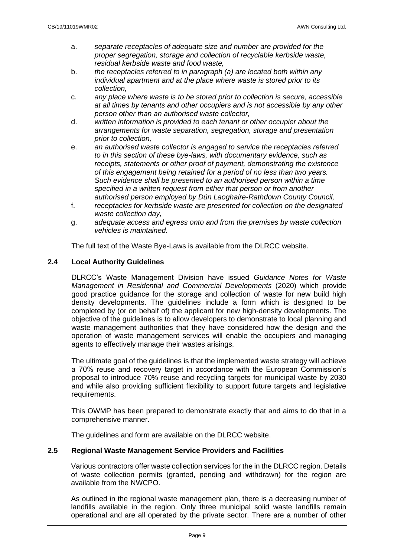- a. *separate receptacles of adequate size and number are provided for the proper segregation, storage and collection of recyclable kerbside waste, residual kerbside waste and food waste,*
- b. *the receptacles referred to in paragraph (a) are located both within any individual apartment and at the place where waste is stored prior to its collection,*
- c. *any place where waste is to be stored prior to collection is secure, accessible at all times by tenants and other occupiers and is not accessible by any other person other than an authorised waste collector,*
- d. *written information is provided to each tenant or other occupier about the arrangements for waste separation, segregation, storage and presentation prior to collection,*
- e. *an authorised waste collector is engaged to service the receptacles referred to in this section of these bye-laws, with documentary evidence, such as receipts, statements or other proof of payment, demonstrating the existence of this engagement being retained for a period of no less than two years. Such evidence shall be presented to an authorised person within a time specified in a written request from either that person or from another authorised person employed by Dún Laoghaire-Rathdown County Council,*
- f. *receptacles for kerbside waste are presented for collection on the designated waste collection day,*
- g. *adequate access and egress onto and from the premises by waste collection vehicles is maintained.*

The full text of the Waste Bye-Laws is available from the DLRCC website.

# <span id="page-8-0"></span>**2.4 Local Authority Guidelines**

DLRCC's Waste Management Division have issued *Guidance Notes for Waste Management in Residential and Commercial Developments* (2020) which provide good practice guidance for the storage and collection of waste for new build high density developments. The guidelines include a form which is designed to be completed by (or on behalf of) the applicant for new high-density developments. The objective of the guidelines is to allow developers to demonstrate to local planning and waste management authorities that they have considered how the design and the operation of waste management services will enable the occupiers and managing agents to effectively manage their wastes arisings.

The ultimate goal of the guidelines is that the implemented waste strategy will achieve a 70% reuse and recovery target in accordance with the European Commission's proposal to introduce 70% reuse and recycling targets for municipal waste by 2030 and while also providing sufficient flexibility to support future targets and legislative requirements.

This OWMP has been prepared to demonstrate exactly that and aims to do that in a comprehensive manner.

The guidelines and form are available on the DLRCC website.

# <span id="page-8-1"></span>**2.5 Regional Waste Management Service Providers and Facilities**

Various contractors offer waste collection services for the in the DLRCC region. Details of waste collection permits (granted, pending and withdrawn) for the region are available from the NWCPO.

As outlined in the regional waste management plan, there is a decreasing number of landfills available in the region. Only three municipal solid waste landfills remain operational and are all operated by the private sector. There are a number of other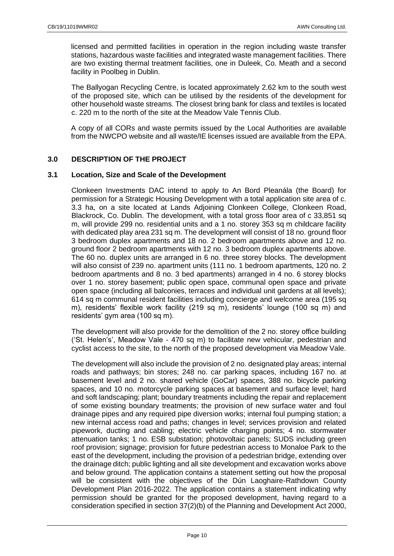licensed and permitted facilities in operation in the region including waste transfer stations, hazardous waste facilities and integrated waste management facilities. There are two existing thermal treatment facilities, one in Duleek, Co. Meath and a second facility in Poolbeg in Dublin.

The Ballyogan Recycling Centre, is located approximately 2.62 km to the south west of the proposed site, which can be utilised by the residents of the development for other household waste streams. The closest bring bank for class and textiles is located c. 220 m to the north of the site at the Meadow Vale Tennis Club.

A copy of all CORs and waste permits issued by the Local Authorities are available from the NWCPO website and all waste/IE licenses issued are available from the EPA.

# <span id="page-9-0"></span>**3.0 DESCRIPTION OF THE PROJECT**

## <span id="page-9-1"></span>**3.1 Location, Size and Scale of the Development**

Clonkeen Investments DAC intend to apply to An Bord Pleanála (the Board) for permission for a Strategic Housing Development with a total application site area of c. 3.3 ha, on a site located at Lands Adjoining Clonkeen College, Clonkeen Road, Blackrock, Co. Dublin. The development, with a total gross floor area of c 33,851 sq m, will provide 299 no. residential units and a 1 no. storey 353 sq m childcare facility with dedicated play area 231 sq m. The development will consist of 18 no. ground floor 3 bedroom duplex apartments and 18 no. 2 bedroom apartments above and 12 no. ground floor 2 bedroom apartments with 12 no. 3 bedroom duplex apartments above. The 60 no. duplex units are arranged in 6 no. three storey blocks. The development will also consist of 239 no. apartment units (111 no. 1 bedroom apartments, 120 no. 2 bedroom apartments and 8 no. 3 bed apartments) arranged in 4 no. 6 storey blocks over 1 no. storey basement; public open space, communal open space and private open space (including all balconies, terraces and individual unit gardens at all levels); 614 sq m communal resident facilities including concierge and welcome area (195 sq m), residents' flexible work facility (219 sq m), residents' lounge (100 sq m) and residents' gym area (100 sq m).

The development will also provide for the demolition of the 2 no. storey office building ('St. Helen's', Meadow Vale - 470 sq m) to facilitate new vehicular, pedestrian and cyclist access to the site, to the north of the proposed development via Meadow Vale.

The development will also include the provision of 2 no. designated play areas; internal roads and pathways; bin stores; 248 no. car parking spaces, including 167 no. at basement level and 2 no. shared vehicle (GoCar) spaces, 388 no. bicycle parking spaces, and 10 no. motorcycle parking spaces at basement and surface level; hard and soft landscaping; plant; boundary treatments including the repair and replacement of some existing boundary treatments; the provision of new surface water and foul drainage pipes and any required pipe diversion works; internal foul pumping station; a new internal access road and paths; changes in level; services provision and related pipework, ducting and cabling; electric vehicle charging points; 4 no. stormwater attenuation tanks; 1 no. ESB substation; photovoltaic panels; SUDS including green roof provision; signage; provision for future pedestrian access to Monaloe Park to the east of the development, including the provision of a pedestrian bridge, extending over the drainage ditch; public lighting and all site development and excavation works above and below ground. The application contains a statement setting out how the proposal will be consistent with the objectives of the Dún Laoghaire-Rathdown County Development Plan 2016-2022. The application contains a statement indicating why permission should be granted for the proposed development, having regard to a consideration specified in section 37(2)(b) of the Planning and Development Act 2000,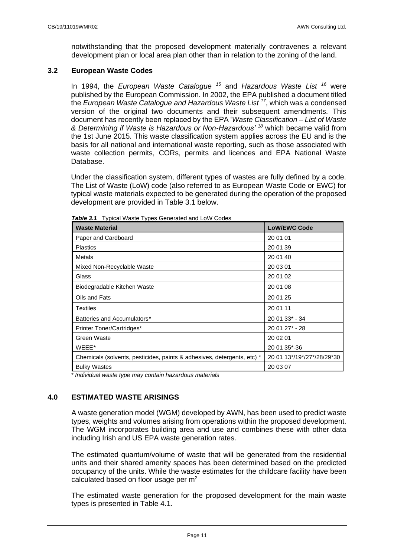notwithstanding that the proposed development materially contravenes a relevant development plan or local area plan other than in relation to the zoning of the land.

# <span id="page-10-0"></span>**3.2 European Waste Codes**

In 1994, the *European Waste Catalogue <sup>15</sup>* and *Hazardous Waste List <sup>16</sup>* were published by the European Commission. In 2002, the EPA published a document titled the *European Waste Catalogue and Hazardous Waste List <sup>17</sup>* , which was a condensed version of the original two documents and their subsequent amendments. This document has recently been replaced by the EPA '*Waste Classification – List of Waste & Determining if Waste is Hazardous or Non-Hazardous' <sup>18</sup>* which became valid from the 1st June 2015. This waste classification system applies across the EU and is the basis for all national and international waste reporting, such as those associated with waste collection permits, CORs, permits and licences and EPA National Waste Database.

Under the classification system, different types of wastes are fully defined by a code. The List of Waste (LoW) code (also referred to as European Waste Code or EWC) for typical waste materials expected to be generated during the operation of the proposed development are provided in Table 3.1 below.

| <b>Waste Material</b>                                                   | <b>LoW/EWC Code</b>        |
|-------------------------------------------------------------------------|----------------------------|
| Paper and Cardboard                                                     | 20 01 01                   |
| <b>Plastics</b>                                                         | 20 01 39                   |
| Metals                                                                  | 20 01 40                   |
| Mixed Non-Recyclable Waste                                              | 20 03 01                   |
| Glass                                                                   | 20 01 02                   |
| Biodegradable Kitchen Waste                                             | 20 01 08                   |
| Oils and Fats                                                           | 20 01 25                   |
| Textiles                                                                | 20 01 11                   |
| Batteries and Accumulators*                                             | 20 01 33* - 34             |
| Printer Toner/Cartridges*                                               | 20 01 27* - 28             |
| Green Waste                                                             | 20 02 01                   |
| WEEE*                                                                   | 20 01 35*-36               |
| Chemicals (solvents, pesticides, paints & adhesives, detergents, etc) * | 20 01 13*/19*/27*/28/29*30 |
| <b>Bulky Wastes</b>                                                     | 20 03 07                   |

*Table 3.1* Typical Waste Types Generated and LoW Codes

*\* Individual waste type may contain hazardous materials*

# <span id="page-10-1"></span>**4.0 ESTIMATED WASTE ARISINGS**

A waste generation model (WGM) developed by AWN, has been used to predict waste types, weights and volumes arising from operations within the proposed development. The WGM incorporates building area and use and combines these with other data including Irish and US EPA waste generation rates.

The estimated quantum/volume of waste that will be generated from the residential units and their shared amenity spaces has been determined based on the predicted occupancy of the units. While the waste estimates for the childcare facility have been calculated based on floor usage per m<sup>2</sup>

The estimated waste generation for the proposed development for the main waste types is presented in Table 4.1.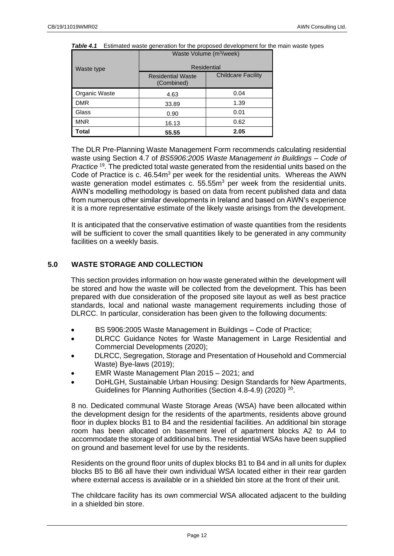| Waste type    | Residential                            |                           |  |
|---------------|----------------------------------------|---------------------------|--|
|               | <b>Residential Waste</b><br>(Combined) | <b>Childcare Facility</b> |  |
| Organic Waste | 4.63                                   | 0.04                      |  |
| <b>DMR</b>    | 33.89                                  | 1.39                      |  |
| Glass         | 0.90                                   | 0.01                      |  |
| <b>MNR</b>    | 16.13                                  | 0.62                      |  |
| Total         | 55.55                                  | 2.05                      |  |

#### **Table 4.1** Estimated waste generation for the proposed development for the main waste types Waste Volume (m<sup>3</sup>/week)

The DLR Pre-Planning Waste Management Form recommends calculating residential waste using Section 4.7 of *BS5906:2005 Waste Management in Buildings – Code of Practice*<sup>19</sup>. The predicted total waste generated from the residential units based on the Code of Practice is c. 46.54m<sup>3</sup> per week for the residential units. Whereas the AWN waste generation model estimates c.  $55.55m<sup>3</sup>$  per week from the residential units. AWN's modelling methodology is based on data from recent published data and data from numerous other similar developments in Ireland and based on AWN's experience it is a more representative estimate of the likely waste arisings from the development.

It is anticipated that the conservative estimation of waste quantities from the residents will be sufficient to cover the small quantities likely to be generated in any community facilities on a weekly basis.

# <span id="page-11-0"></span>**5.0 WASTE STORAGE AND COLLECTION**

This section provides information on how waste generated within the development will be stored and how the waste will be collected from the development. This has been prepared with due consideration of the proposed site layout as well as best practice standards, local and national waste management requirements including those of DLRCC. In particular, consideration has been given to the following documents:

- BS 5906:2005 Waste Management in Buildings Code of Practice;
- DLRCC Guidance Notes for Waste Management in Large Residential and Commercial Developments (2020);
- DLRCC, Segregation, Storage and Presentation of Household and Commercial Waste) Bye-laws (2019);
- EMR Waste Management Plan 2015 2021; and
- DoHLGH, Sustainable Urban Housing: Design Standards for New Apartments, Guidelines for Planning Authorities (Section 4.8-4.9) (2020)<sup>20</sup>.

8 no. Dedicated communal Waste Storage Areas (WSA) have been allocated within the development design for the residents of the apartments, residents above ground floor in duplex blocks B1 to B4 and the residential facilities. An additional bin storage room has been allocated on basement level of apartment blocks A2 to A4 to accommodate the storage of additional bins. The residential WSAs have been supplied on ground and basement level for use by the residents.

Residents on the ground floor units of duplex blocks B1 to B4 and in all units for duplex blocks B5 to B6 all have their own individual WSA located either in their rear garden where external access is available or in a shielded bin store at the front of their unit.

The childcare facility has its own commercial WSA allocated adjacent to the building in a shielded bin store.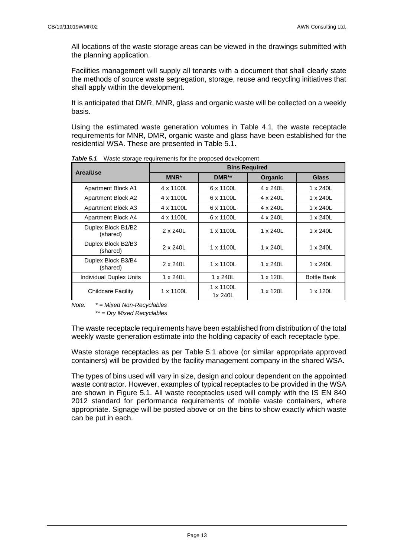All locations of the waste storage areas can be viewed in the drawings submitted with the planning application.

Facilities management will supply all tenants with a document that shall clearly state the methods of source waste segregation, storage, reuse and recycling initiatives that shall apply within the development.

It is anticipated that DMR, MNR, glass and organic waste will be collected on a weekly basis.

Using the estimated waste generation volumes in Table 4.1, the waste receptacle requirements for MNR, DMR, organic waste and glass have been established for the residential WSA. These are presented in Table 5.1.

| Area/Use                       | <b>Bins Required</b> |                      |                  |                    |
|--------------------------------|----------------------|----------------------|------------------|--------------------|
|                                | MNR*                 | DMR <sup>**</sup>    | Organic          | <b>Glass</b>       |
| <b>Apartment Block A1</b>      | 4 x 1100L            | 6 x 1100L            | 4 x 240L         | 1 x 240L           |
| <b>Apartment Block A2</b>      | 4 x 1100L            | 6 x 1100L            | 4 x 240L         | 1 x 240L           |
| Apartment Block A3             | 4 x 1100L            | 6 x 1100L            | 4 x 240L         | 1 x 240L           |
| Apartment Block A4             | 4 x 1100L            | 6 x 1100L            | 4 x 240L         | 1 x 240L           |
| Duplex Block B1/B2<br>(shared) | $2 \times 240$ L     | 1 x 1100L            | 1 x 240L         | 1 x 240L           |
| Duplex Block B2/B3<br>(shared) | $2 \times 240$ L     | 1 x 1100L            | 1 x 240L         | 1 x 240L           |
| Duplex Block B3/B4<br>(shared) | $2 \times 240$ L     | 1 x 1100L            | 1 x 240L         | 1 x 240L           |
| <b>Individual Duplex Units</b> | 1 x 240L             | 1 x 240L             | 1 x 120L         | <b>Bottle Bank</b> |
| <b>Childcare Facility</b>      | 1 x 1100L            | 1 x 1100L<br>1x 240L | $1 \times 120$ L | 1 x 120L           |

*Table 5.1* Waste storage requirements for the proposed development

*Note: \* = Mixed Non-Recyclables*

*\*\* = Dry Mixed Recyclables*

The waste receptacle requirements have been established from distribution of the total weekly waste generation estimate into the holding capacity of each receptacle type.

Waste storage receptacles as per Table 5.1 above (or similar appropriate approved containers) will be provided by the facility management company in the shared WSA.

The types of bins used will vary in size, design and colour dependent on the appointed waste contractor. However, examples of typical receptacles to be provided in the WSA are shown in Figure 5.1. All waste receptacles used will comply with the IS EN 840 2012 standard for performance requirements of mobile waste containers, where appropriate. Signage will be posted above or on the bins to show exactly which waste can be put in each.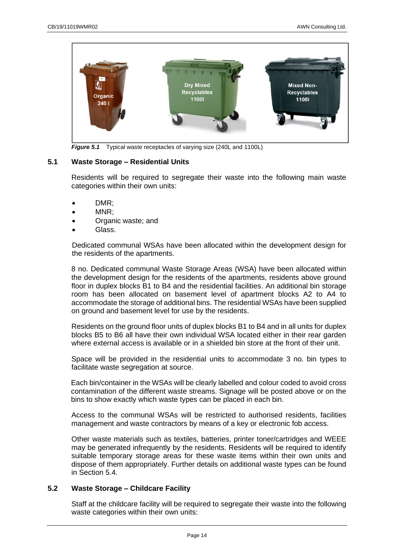

*Figure 5.1* Typical waste receptacles of varying size (240L and 1100L)

## <span id="page-13-0"></span>**5.1 Waste Storage – Residential Units**

Residents will be required to segregate their waste into the following main waste categories within their own units:

- DMR;
- MNR;
- Organic waste; and
- Glass.

Dedicated communal WSAs have been allocated within the development design for the residents of the apartments.

8 no. Dedicated communal Waste Storage Areas (WSA) have been allocated within the development design for the residents of the apartments, residents above ground floor in duplex blocks B1 to B4 and the residential facilities. An additional bin storage room has been allocated on basement level of apartment blocks A2 to A4 to accommodate the storage of additional bins. The residential WSAs have been supplied on ground and basement level for use by the residents.

Residents on the ground floor units of duplex blocks B1 to B4 and in all units for duplex blocks B5 to B6 all have their own individual WSA located either in their rear garden where external access is available or in a shielded bin store at the front of their unit.

Space will be provided in the residential units to accommodate 3 no. bin types to facilitate waste segregation at source.

Each bin/container in the WSAs will be clearly labelled and colour coded to avoid cross contamination of the different waste streams. Signage will be posted above or on the bins to show exactly which waste types can be placed in each bin.

Access to the communal WSAs will be restricted to authorised residents, facilities management and waste contractors by means of a key or electronic fob access.

Other waste materials such as textiles, batteries, printer toner/cartridges and WEEE may be generated infrequently by the residents. Residents will be required to identify suitable temporary storage areas for these waste items within their own units and dispose of them appropriately. Further details on additional waste types can be found in Section 5.4.

# <span id="page-13-1"></span>**5.2 Waste Storage – Childcare Facility**

Staff at the childcare facility will be required to segregate their waste into the following waste categories within their own units: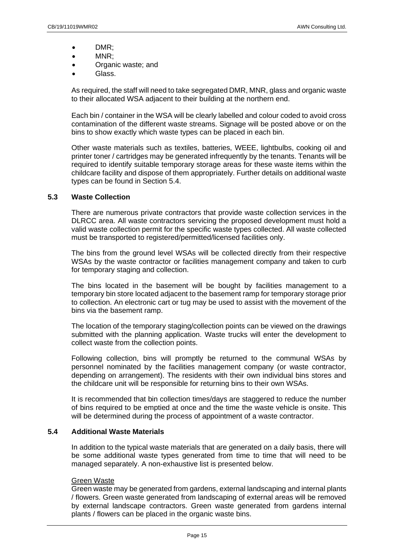- DMR;
- MNR;
- Organic waste; and
- Glass.

As required, the staff will need to take segregated DMR, MNR, glass and organic waste to their allocated WSA adjacent to their building at the northern end.

Each bin / container in the WSA will be clearly labelled and colour coded to avoid cross contamination of the different waste streams. Signage will be posted above or on the bins to show exactly which waste types can be placed in each bin.

Other waste materials such as textiles, batteries, WEEE, lightbulbs, cooking oil and printer toner / cartridges may be generated infrequently by the tenants. Tenants will be required to identify suitable temporary storage areas for these waste items within the childcare facility and dispose of them appropriately. Further details on additional waste types can be found in Section 5.4.

## <span id="page-14-0"></span>**5.3 Waste Collection**

There are numerous private contractors that provide waste collection services in the DLRCC area. All waste contractors servicing the proposed development must hold a valid waste collection permit for the specific waste types collected. All waste collected must be transported to registered/permitted/licensed facilities only.

The bins from the ground level WSAs will be collected directly from their respective WSAs by the waste contractor or facilities management company and taken to curb for temporary staging and collection.

The bins located in the basement will be bought by facilities management to a temporary bin store located adjacent to the basement ramp for temporary storage prior to collection. An electronic cart or tug may be used to assist with the movement of the bins via the basement ramp.

The location of the temporary staging/collection points can be viewed on the drawings submitted with the planning application. Waste trucks will enter the development to collect waste from the collection points.

Following collection, bins will promptly be returned to the communal WSAs by personnel nominated by the facilities management company (or waste contractor, depending on arrangement). The residents with their own individual bins stores and the childcare unit will be responsible for returning bins to their own WSAs.

It is recommended that bin collection times/days are staggered to reduce the number of bins required to be emptied at once and the time the waste vehicle is onsite. This will be determined during the process of appointment of a waste contractor.

# <span id="page-14-1"></span>**5.4 Additional Waste Materials**

In addition to the typical waste materials that are generated on a daily basis, there will be some additional waste types generated from time to time that will need to be managed separately. A non-exhaustive list is presented below.

## Green Waste

Green waste may be generated from gardens, external landscaping and internal plants / flowers. Green waste generated from landscaping of external areas will be removed by external landscape contractors. Green waste generated from gardens internal plants / flowers can be placed in the organic waste bins.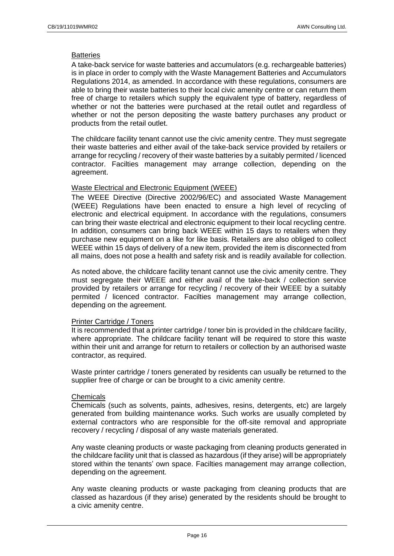## **Batteries**

A take-back service for waste batteries and accumulators (e.g. rechargeable batteries) is in place in order to comply with the Waste Management Batteries and Accumulators Regulations 2014, as amended. In accordance with these regulations, consumers are able to bring their waste batteries to their local civic amenity centre or can return them free of charge to retailers which supply the equivalent type of battery, regardless of whether or not the batteries were purchased at the retail outlet and regardless of whether or not the person depositing the waste battery purchases any product or products from the retail outlet.

The childcare facility tenant cannot use the civic amenity centre. They must segregate their waste batteries and either avail of the take-back service provided by retailers or arrange for recycling / recovery of their waste batteries by a suitably permited / licenced contractor. Facilties management may arrange collection, depending on the agreement.

## Waste Electrical and Electronic Equipment (WEEE)

The WEEE Directive (Directive 2002/96/EC) and associated Waste Management (WEEE) Regulations have been enacted to ensure a high level of recycling of electronic and electrical equipment. In accordance with the regulations, consumers can bring their waste electrical and electronic equipment to their local recycling centre. In addition, consumers can bring back WEEE within 15 days to retailers when they purchase new equipment on a like for like basis. Retailers are also obliged to collect WEEE within 15 days of delivery of a new item, provided the item is disconnected from all mains, does not pose a health and safety risk and is readily available for collection.

As noted above, the childcare facility tenant cannot use the civic amenity centre. They must segregate their WEEE and either avail of the take-back / collection service provided by retailers or arrange for recycling / recovery of their WEEE by a suitably permited / licenced contractor. Facilties management may arrange collection, depending on the agreement.

## Printer Cartridge / Toners

It is recommended that a printer cartridge / toner bin is provided in the childcare facility, where appropriate. The childcare facility tenant will be required to store this waste within their unit and arrange for return to retailers or collection by an authorised waste contractor, as required.

Waste printer cartridge / toners generated by residents can usually be returned to the supplier free of charge or can be brought to a civic amenity centre.

## **Chemicals**

Chemicals (such as solvents, paints, adhesives, resins, detergents, etc) are largely generated from building maintenance works. Such works are usually completed by external contractors who are responsible for the off-site removal and appropriate recovery / recycling / disposal of any waste materials generated.

Any waste cleaning products or waste packaging from cleaning products generated in the childcare facility unit that is classed as hazardous (if they arise) will be appropriately stored within the tenants' own space. Facilties management may arrange collection, depending on the agreement.

Any waste cleaning products or waste packaging from cleaning products that are classed as hazardous (if they arise) generated by the residents should be brought to a civic amenity centre.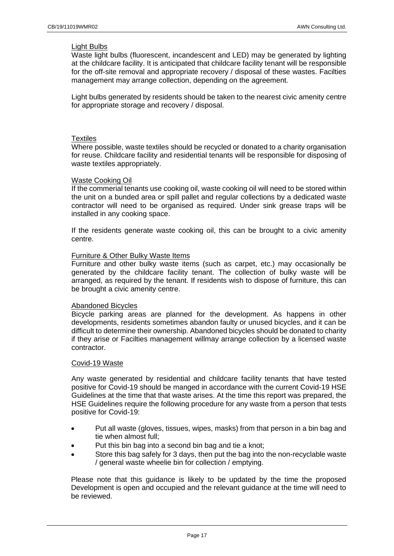## Light Bulbs

Waste light bulbs (fluorescent, incandescent and LED) may be generated by lighting at the childcare facility. It is anticipated that childcare facility tenant will be responsible for the off-site removal and appropriate recovery / disposal of these wastes. Facilties management may arrange collection, depending on the agreement.

Light bulbs generated by residents should be taken to the nearest civic amenity centre for appropriate storage and recovery / disposal.

## **Textiles**

Where possible, waste textiles should be recycled or donated to a charity organisation for reuse. Childcare facility and residential tenants will be responsible for disposing of waste textiles appropriately.

## Waste Cooking Oil

If the commerial tenants use cooking oil, waste cooking oil will need to be stored within the unit on a bunded area or spill pallet and regular collections by a dedicated waste contractor will need to be organised as required. Under sink grease traps will be installed in any cooking space.

If the residents generate waste cooking oil, this can be brought to a civic amenity centre.

## Furniture & Other Bulky Waste Items

Furniture and other bulky waste items (such as carpet, etc.) may occasionally be generated by the childcare facility tenant. The collection of bulky waste will be arranged, as required by the tenant. If residents wish to dispose of furniture, this can be brought a civic amenity centre.

## Abandoned Bicycles

Bicycle parking areas are planned for the development. As happens in other developments, residents sometimes abandon faulty or unused bicycles, and it can be difficult to determine their ownership. Abandoned bicycles should be donated to charity if they arise or Facilties management willmay arrange collection by a licensed waste contractor.

## Covid-19 Waste

Any waste generated by residential and childcare facility tenants that have tested positive for Covid-19 should be manged in accordance with the current Covid-19 HSE Guidelines at the time that that waste arises. At the time this report was prepared, the HSE Guidelines require the following procedure for any waste from a person that tests positive for Covid-19:

- Put all waste (gloves, tissues, wipes, masks) from that person in a bin bag and tie when almost full;
- Put this bin bag into a second bin bag and tie a knot;
- Store this bag safely for 3 days, then put the bag into the non-recyclable waste / general waste wheelie bin for collection / emptying.

Please note that this guidance is likely to be updated by the time the proposed Development is open and occupied and the relevant guidance at the time will need to be reviewed.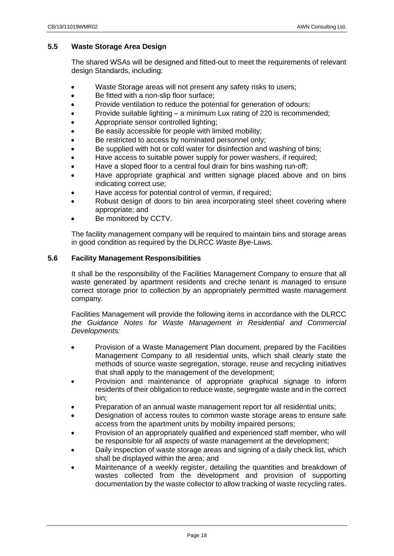# <span id="page-17-0"></span>**5.5 Waste Storage Area Design**

The shared WSAs will be designed and fitted-out to meet the requirements of relevant design Standards, including:

- Waste Storage areas will not present any safety risks to users;
- Be fitted with a non-slip floor surface;
- Provide ventilation to reduce the potential for generation of odours;
- Provide suitable lighting a minimum Lux rating of 220 is recommended;
- Appropriate sensor controlled lighting;
- Be easily accessible for people with limited mobility;
- Be restricted to access by nominated personnel only;
- Be supplied with hot or cold water for disinfection and washing of bins;
- Have access to suitable power supply for power washers, if required;
- Have a sloped floor to a central foul drain for bins washing run-off;
- Have appropriate graphical and written signage placed above and on bins indicating correct use;
- Have access for potential control of vermin, if required;
- Robust design of doors to bin area incorporating steel sheet covering where appropriate; and
- Be monitored by CCTV.

The facility management company will be required to maintain bins and storage areas in good condition as required by the DLRCC *Waste Bye-*Laws.

## <span id="page-17-1"></span>**5.6 Facility Management Responsibilities**

It shall be the responsibility of the Facilities Management Company to ensure that all waste generated by apartment residents and creche tenant is managed to ensure correct storage prior to collection by an appropriately permitted waste management company.

Facilities Management will provide the following items in accordance with the DLRCC *the Guidance Notes for Waste Management in Residential and Commercial Developments:*

- Provision of a Waste Management Plan document, prepared by the Facilities Management Company to all residential units, which shall clearly state the methods of source waste segregation, storage, reuse and recycling initiatives that shall apply to the management of the development;
- Provision and maintenance of appropriate graphical signage to inform residents of their obligation to reduce waste, segregate waste and in the correct bin;
- Preparation of an annual waste management report for all residential units;
- Designation of access routes to common waste storage areas to ensure safe access from the apartment units by mobility impaired persons;
- Provision of an appropriately qualified and experienced staff member, who will be responsible for all aspects of waste management at the development;
- Daily inspection of waste storage areas and signing of a daily check list, which shall be displayed within the area; and
- Maintenance of a weekly register, detailing the quantities and breakdown of wastes collected from the development and provision of supporting documentation by the waste collector to allow tracking of waste recycling rates.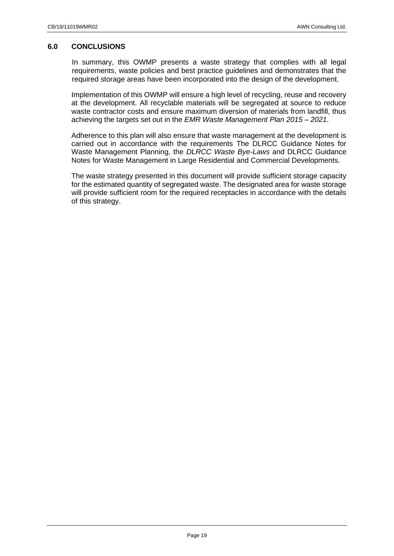# <span id="page-18-0"></span>**6.0 CONCLUSIONS**

In summary, this OWMP presents a waste strategy that complies with all legal requirements, waste policies and best practice guidelines and demonstrates that the required storage areas have been incorporated into the design of the development.

Implementation of this OWMP will ensure a high level of recycling, reuse and recovery at the development. All recyclable materials will be segregated at source to reduce waste contractor costs and ensure maximum diversion of materials from landfill, thus achieving the targets set out in the *EMR Waste Management Plan 2015 – 2021*.

Adherence to this plan will also ensure that waste management at the development is carried out in accordance with the requirements The DLRCC Guidance Notes for Waste Management Planning, the *DLRCC Waste Bye-Laws* and DLRCC Guidance Notes for Waste Management in Large Residential and Commercial Developments*.*

The waste strategy presented in this document will provide sufficient storage capacity for the estimated quantity of segregated waste. The designated area for waste storage will provide sufficient room for the required receptacles in accordance with the details of this strategy.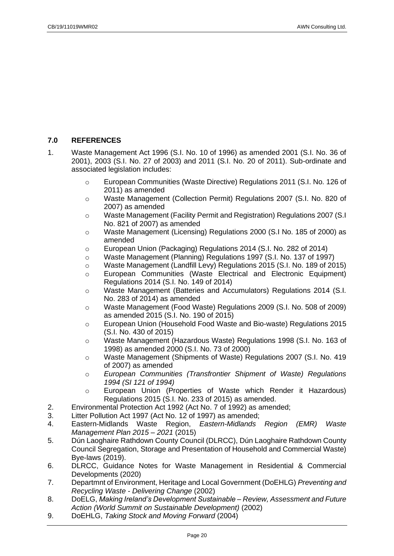# <span id="page-19-0"></span>**7.0 REFERENCES**

- 1. Waste Management Act 1996 (S.I. No. 10 of 1996) as amended 2001 (S.I. No. 36 of 2001), 2003 (S.I. No. 27 of 2003) and 2011 (S.I. No. 20 of 2011). Sub-ordinate and associated legislation includes:
	- o European Communities (Waste Directive) Regulations 2011 (S.I. No. 126 of 2011) as amended
	- o Waste Management (Collection Permit) Regulations 2007 (S.I. No. 820 of 2007) as amended
	- o Waste Management (Facility Permit and Registration) Regulations 2007 (S.I No. 821 of 2007) as amended
	- o Waste Management (Licensing) Regulations 2000 (S.I No. 185 of 2000) as amended
	- o European Union (Packaging) Regulations 2014 (S.I. No. 282 of 2014)
	- o Waste Management (Planning) Regulations 1997 (S.I. No. 137 of 1997)
	- o Waste Management (Landfill Levy) Regulations 2015 (S.I. No. 189 of 2015)
	- o European Communities (Waste Electrical and Electronic Equipment) Regulations 2014 (S.I. No. 149 of 2014)
	- o Waste Management (Batteries and Accumulators) Regulations 2014 (S.I. No. 283 of 2014) as amended
	- o Waste Management (Food Waste) Regulations 2009 (S.I. No. 508 of 2009) as amended 2015 (S.I. No. 190 of 2015)
	- o European Union (Household Food Waste and Bio-waste) Regulations 2015 (S.I. No. 430 of 2015)
	- o Waste Management (Hazardous Waste) Regulations 1998 (S.I. No. 163 of 1998) as amended 2000 (S.I. No. 73 of 2000)
	- o Waste Management (Shipments of Waste) Regulations 2007 (S.I. No. 419 of 2007) as amended
	- o *European Communities (Transfrontier Shipment of Waste) Regulations 1994 (SI 121 of 1994)*
	- o European Union (Properties of Waste which Render it Hazardous) Regulations 2015 (S.I. No. 233 of 2015) as amended.
- 2. Environmental Protection Act 1992 (Act No. 7 of 1992) as amended;
- 3. Litter Pollution Act 1997 (Act No. 12 of 1997) as amended;
- 4. Eastern-Midlands Waste Region, *Eastern-Midlands Region (EMR) Waste Management Plan 2015 – 2021* (2015)
- 5. Dún Laoghaire Rathdown County Council (DLRCC), Dún Laoghaire Rathdown County Council Segregation, Storage and Presentation of Household and Commercial Waste) Bye-laws (2019).
- 6. DLRCC, Guidance Notes for Waste Management in Residential & Commercial Developments (2020)
- 7. Departmnt of Environment, Heritage and Local Government (DoEHLG) *Preventing and Recycling Waste - Delivering Change* (2002)
- 8. DoELG, *Making Ireland's Development Sustainable – Review, Assessment and Future Action (World Summit on Sustainable Development)* (2002)
- 9. DoEHLG, *Taking Stock and Moving Forward* (2004)